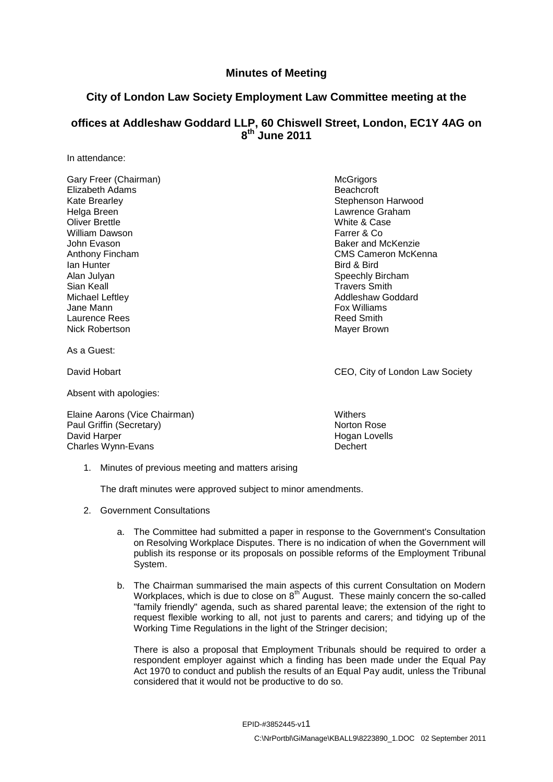## **Minutes of Meeting**

## **City of London Law Society Employment Law Committee meeting at the**

## **offices at Addleshaw Goddard LLP, 60 Chiswell Street, London, EC1Y 4AG on 8 th June 2011**

In attendance:

Gary Freer (Chairman) and the contract of the McGrigors McGrigors Elizabeth Adams Beachcroft Helga Breen Lawrence Graham<br>
Cliver Brettle Lawrence Graham<br>
Cliver Brettle Lawrence Graham William Dawson John Evason Baker and McKenzie **Ian Hunter** Bird & Bird & Bird & Bird & Bird & Bird & Bird & Bird & Bird & Bird & Bird & Bird & Bird & Bird & Bird & Bird & Bird & Bird & Bird & Bird & Bird & Bird & Bird & Bird & Bird & Bird & Bird & Bird & Bird & Bird & Alan Julyan Speechly Bircham Speechly Bircham Sian Keall **Sian Keall** Sian Keall **Travers Smith** Michael Leftley **Addleshaw Goddard** Michael Leftley Jane Mann Fox Williams **Fox Williams** Laurence Rees **Reed Smith** Nick Robertson **Mayer Brown** Mayer Brown

As a Guest:

Absent with apologies:

Elaine Aarons (Vice Chairman) Withers Paul Griffin (Secretary) Norton Rose Norton Rose David Harper Nogan Lovells Charles Wynn-Evans **Dechert** 

Kate Brearley **Stephenson Harwood** Stephenson Harwood White & Case<br>Farret & Co Anthony Fincham **CMS** CMS Cameron McKenna

David Hobart **CEO**, City of London Law Society

1. Minutes of previous meeting and matters arising

The draft minutes were approved subject to minor amendments.

- 2. Government Consultations
	- a. The Committee had submitted a paper in response to the Government's Consultation on Resolving Workplace Disputes. There is no indication of when the Government will publish its response or its proposals on possible reforms of the Employment Tribunal System.
	- b. The Chairman summarised the main aspects of this current Consultation on Modern Workplaces, which is due to close on  $8<sup>th</sup>$  August. These mainly concern the so-called "family friendly" agenda, such as shared parental leave; the extension of the right to request flexible working to all, not just to parents and carers; and tidying up of the Working Time Regulations in the light of the Stringer decision;

There is also a proposal that Employment Tribunals should be required to order a respondent employer against which a finding has been made under the Equal Pay Act 1970 to conduct and publish the results of an Equal Pay audit, unless the Tribunal considered that it would not be productive to do so.

EPID-#3852445-v11